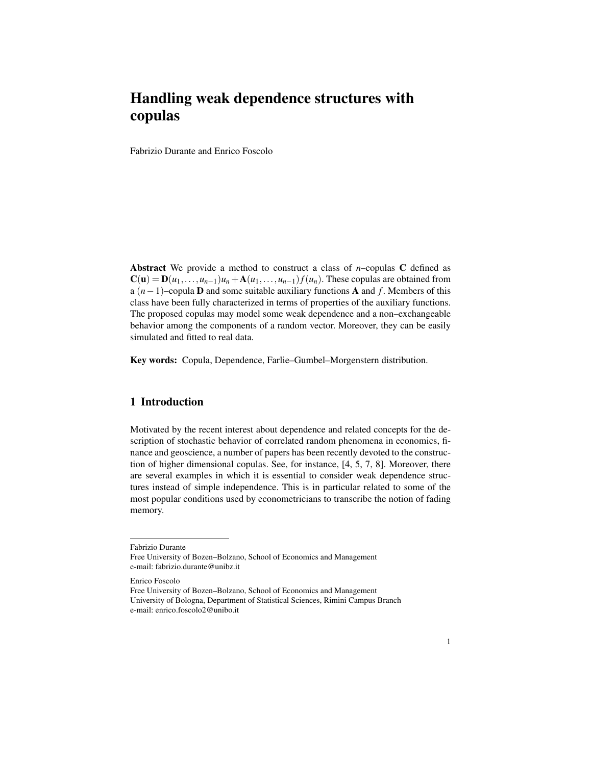# Handling weak dependence structures with copulas

Fabrizio Durante and Enrico Foscolo

Abstract We provide a method to construct a class of *n*–copulas C defined as  $C(\mathbf{u}) = \mathbf{D}(u_1,\ldots,u_{n-1})u_n + \mathbf{A}(u_1,\ldots,u_{n-1})f(u_n)$ . These copulas are obtained from a (*n*−1)–copula D and some suitable auxiliary functions A and *f* . Members of this class have been fully characterized in terms of properties of the auxiliary functions. The proposed copulas may model some weak dependence and a non–exchangeable behavior among the components of a random vector. Moreover, they can be easily simulated and fitted to real data.

Key words: Copula, Dependence, Farlie–Gumbel–Morgenstern distribution.

## 1 Introduction

Motivated by the recent interest about dependence and related concepts for the description of stochastic behavior of correlated random phenomena in economics, finance and geoscience, a number of papers has been recently devoted to the construction of higher dimensional copulas. See, for instance, [4, 5, 7, 8]. Moreover, there are several examples in which it is essential to consider weak dependence structures instead of simple independence. This is in particular related to some of the most popular conditions used by econometricians to transcribe the notion of fading memory.

Fabrizio Durante

Free University of Bozen–Bolzano, School of Economics and Management e-mail: fabrizio.durante@unibz.it

Enrico Foscolo

Free University of Bozen–Bolzano, School of Economics and Management University of Bologna, Department of Statistical Sciences, Rimini Campus Branch e-mail: enrico.foscolo2@unibo.it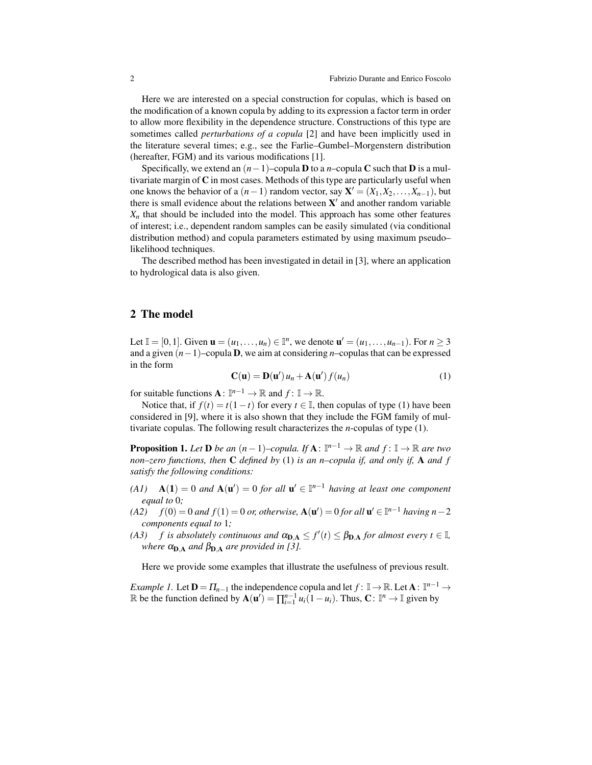Here we are interested on a special construction for copulas, which is based on the modification of a known copula by adding to its expression a factor term in order to allow more flexibility in the dependence structure. Constructions of this type are sometimes called *perturbations of a copula* [2] and have been implicitly used in the literature several times; e.g., see the Farlie–Gumbel–Morgenstern distribution (hereafter, FGM) and its various modifications [1].

Specifically, we extend an  $(n-1)$ –copula **D** to a *n*–copula **C** such that **D** is a multivariate margin of  $C$  in most cases. Methods of this type are particularly useful when one knows the behavior of a  $(n-1)$  random vector, say  $\mathbf{X}' = (X_1, X_2, \dots, X_{n-1})$ , but there is small evidence about the relations between  $X'$  and another random variable  $X_n$  that should be included into the model. This approach has some other features of interest; i.e., dependent random samples can be easily simulated (via conditional distribution method) and copula parameters estimated by using maximum pseudo– likelihood techniques.

The described method has been investigated in detail in [3], where an application to hydrological data is also given.

## 2 The model

Let  $\mathbb{I} = [0,1]$ . Given  $\mathbf{u} = (u_1, \ldots, u_n) \in \mathbb{I}^n$ , we denote  $\mathbf{u}' = (u_1, \ldots, u_{n-1})$ . For *n* ≥ 3 and a given (*n*−1)–copula D, we aim at considering *n*–copulas that can be expressed in the form

$$
\mathbf{C}(\mathbf{u}) = \mathbf{D}(\mathbf{u}') u_n + \mathbf{A}(\mathbf{u}') f(u_n)
$$
 (1)

for suitable functions  $\mathbf{A} : \mathbb{I}^{n-1} \to \mathbb{R}$  and  $f: \mathbb{I} \to \mathbb{R}$ .

Notice that, if  $f(t) = t(1-t)$  for every  $t \in \mathbb{I}$ , then copulas of type (1) have been considered in [9], where it is also shown that they include the FGM family of multivariate copulas. The following result characterizes the *n*-copulas of type (1).

**Proposition 1.** Let **D** be an  $(n-1)$ –copula. If  $\mathbf{A}: \mathbb{I}^{n-1} \to \mathbb{R}$  and  $f: \mathbb{I} \to \mathbb{R}$  are two *non–zero functions, then* C *defined by* (1) *is an n–copula if, and only if,* A *and f satisfy the following conditions:*

- $(A1)$  **A**(1) = 0 *and*  $A(u') = 0$  *for all*  $u' \in I^{n-1}$  *having at least one component equal to* 0*;*
- *(A2)*  $f(0) = 0$  *and*  $f(1) = 0$  *or, otherwise*,  $A(u') = 0$  *for all*  $u' ∈ ℤ<sup>n-1</sup>$  *having n*−2 *components equal to* 1*;*
- *(A3) f is absolutely continuous and*  $\alpha_{D,A} \leq f'(t) \leq \beta_{D,A}$  *for almost every*  $t \in \mathbb{I}$ *, where*  $\alpha_{D,A}$  *and*  $\beta_{D,A}$  *are provided in [3].*

Here we provide some examples that illustrate the usefulness of previous result.

*Example 1.* Let  $D = \prod_{n=1}$  the independence copula and let  $f: \mathbb{I} \to \mathbb{R}$ . Let  $A: \mathbb{I}^{n-1} \to$ R be the function defined by  $\mathbf{A}(\mathbf{u}') = \prod_{i=1}^{n-1} u_i(1 - u_i)$ . Thus,  $\mathbf{C}: \mathbb{I}^n \to \mathbb{I}$  given by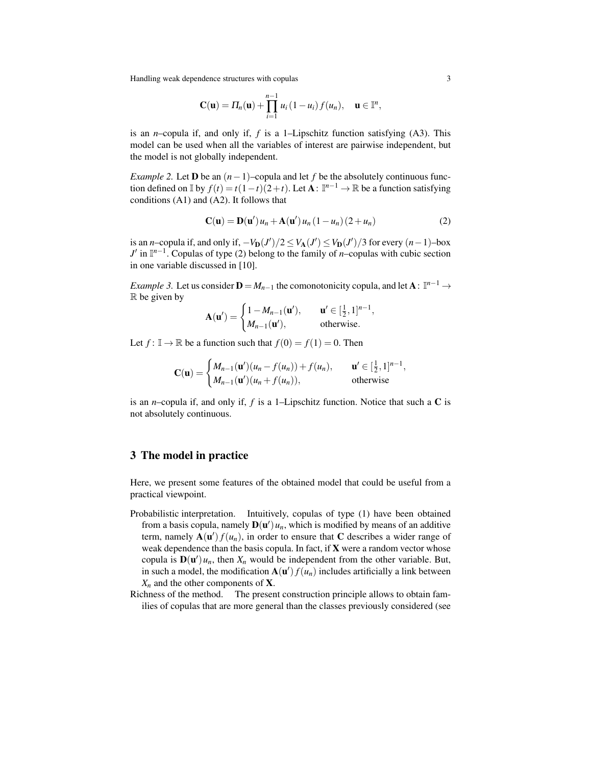Handling weak dependence structures with copulas 3

$$
\mathbf{C}(\mathbf{u}) = \Pi_n(\mathbf{u}) + \prod_{i=1}^{n-1} u_i (1 - u_i) f(u_n), \quad \mathbf{u} \in \mathbb{I}^n,
$$

is an *n*–copula if, and only if, *f* is a 1–Lipschitz function satisfying (A3). This model can be used when all the variables of interest are pairwise independent, but the model is not globally independent.

*Example 2.* Let **D** be an  $(n-1)$ –copula and let *f* be the absolutely continuous function defined on  $\mathbb{I}$  by  $f(t) = t(1-t)(2+t)$ . Let  $\mathbf{A}: \mathbb{I}^{n-1} \to \mathbb{R}$  be a function satisfying conditions (A1) and (A2). It follows that

$$
\mathbf{C}(\mathbf{u}) = \mathbf{D}(\mathbf{u}') u_n + \mathbf{A}(\mathbf{u}') u_n (1 - u_n) (2 + u_n)
$$
 (2)

is an *n*–copula if, and only if,  $-V_D(J')/2 \le V_A(J') \le V_D(J')/3$  for every  $(n-1)$ –box *J'* in  $\mathbb{I}^{n-1}$ . Copulas of type (2) belong to the family of *n*–copulas with cubic section in one variable discussed in [10].

*Example 3.* Let us consider  $\mathbf{D} = M_{n-1}$  the comonotonicity copula, and let  $\mathbf{A}: \mathbb{I}^{n-1} \to$  $\mathbb R$  be given by

$$
\mathbf{A}(\mathbf{u}') = \begin{cases} 1 - M_{n-1}(\mathbf{u}'), & \mathbf{u}' \in [\frac{1}{2}, 1]^{n-1}, \\ M_{n-1}(\mathbf{u}'), & \text{otherwise.} \end{cases}
$$

Let  $f: \mathbb{I} \to \mathbb{R}$  be a function such that  $f(0) = f(1) = 0$ . Then

$$
\mathbf{C}(\mathbf{u}) = \begin{cases} M_{n-1}(\mathbf{u}')(u_n - f(u_n)) + f(u_n), & \mathbf{u}' \in [\frac{1}{2}, 1]^{n-1}, \\ M_{n-1}(\mathbf{u}')((u_n + f(u_n))), & \text{otherwise} \end{cases}
$$

is an *n*–copula if, and only if, *f* is a 1–Lipschitz function. Notice that such a C is not absolutely continuous.

### 3 The model in practice

Here, we present some features of the obtained model that could be useful from a practical viewpoint.

- Probabilistic interpretation. Intuitively, copulas of type (1) have been obtained from a basis copula, namely  $\mathbf{D}(\mathbf{u}')$   $u_n$ , which is modified by means of an additive term, namely  $\mathbf{A}(\mathbf{u}') f(u_n)$ , in order to ensure that C describes a wider range of weak dependence than the basis copula. In fact, if  $X$  were a random vector whose copula is  $D(u')u_n$ , then  $X_n$  would be independent from the other variable. But, in such a model, the modification  $\mathbf{A}(\mathbf{u}') f(u_n)$  includes artificially a link between  $X_n$  and the other components of **X**.
- Richness of the method. The present construction principle allows to obtain families of copulas that are more general than the classes previously considered (see